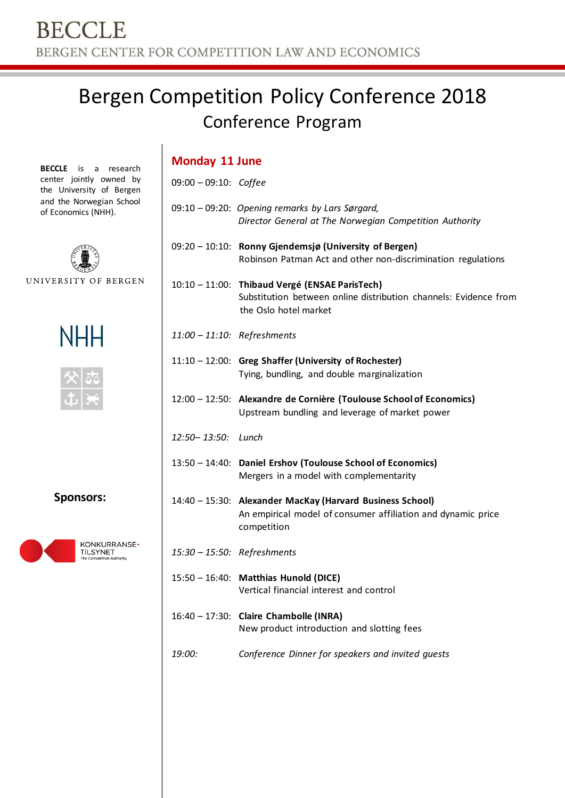## Bergen Competition Policy Conference 2018 Conference Program

**BECCLE** is a research center jointly owned by the University of Bergen and the Norwegian School of Economics (NHH).



UNIVERSITY OF BERGEN



**Sponsors:**



| <b>Monday 11 June</b>    |                                                                                                                                             |  |
|--------------------------|---------------------------------------------------------------------------------------------------------------------------------------------|--|
| $09:00 - 09:10$ : Coffee |                                                                                                                                             |  |
|                          | 09:10 - 09:20: Opening remarks by Lars Sørgard,<br>Director General at The Norwegian Competition Authority                                  |  |
|                          | 09:20 - 10:10: Ronny Gjendemsjø (University of Bergen)<br>Robinson Patman Act and other non-discrimination regulations                      |  |
|                          | 10:10 - 11:00: Thibaud Vergé (ENSAE ParisTech)<br>Substitution between online distribution channels: Evidence from<br>the Oslo hotel market |  |
|                          | 11:00 - 11:10: Refreshments                                                                                                                 |  |
|                          | 11:10 - 12:00: Greg Shaffer (University of Rochester)<br>Tying, bundling, and double marginalization                                        |  |
|                          | 12:00 - 12:50: Alexandre de Cornière (Toulouse School of Economics)<br>Upstream bundling and leverage of market power                       |  |
| 12:50-13:50: Lunch       |                                                                                                                                             |  |
|                          | 13:50 - 14:40: Daniel Ershov (Toulouse School of Economics)<br>Mergers in a model with complementarity                                      |  |
|                          | 14:40 - 15:30: Alexander MacKay (Harvard Business School)<br>An empirical model of consumer affiliation and dynamic price<br>competition    |  |
|                          | 15:30 - 15:50: Refreshments                                                                                                                 |  |
|                          | 15:50 - 16:40: Matthias Hunold (DICE)<br>Vertical financial interest and control                                                            |  |
|                          | 16:40 - 17:30: Claire Chambolle (INRA)<br>New product introduction and slotting fees                                                        |  |
| 19:00:                   | Conference Dinner for speakers and invited guests                                                                                           |  |